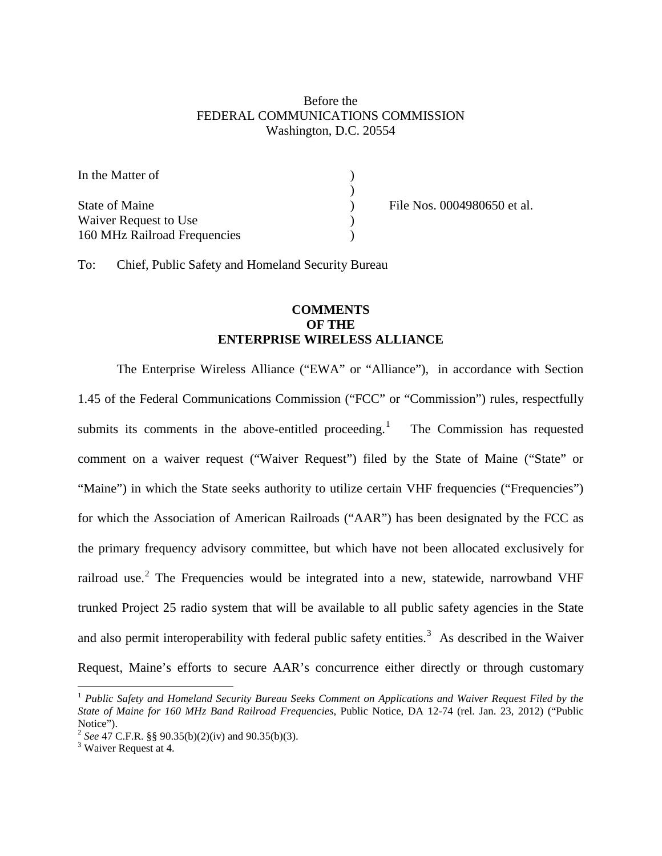### Before the FEDERAL COMMUNICATIONS COMMISSION Washington, D.C. 20554

| In the Matter of                        |  |
|-----------------------------------------|--|
| State of Maine<br>Waiver Request to Use |  |
| 160 MHz Railroad Frequencies            |  |

File Nos. 0004980650 et al.

To: Chief, Public Safety and Homeland Security Bureau

## **COMMENTS OF THE ENTERPRISE WIRELESS ALLIANCE**

The Enterprise Wireless Alliance ("EWA" or "Alliance"), in accordance with Section 1.45 of the Federal Communications Commission ("FCC" or "Commission") rules, respectfully submits its comments in the above-entitled proceeding.<sup>[1](#page-0-0)</sup> The Commission has requested comment on a waiver request ("Waiver Request") filed by the State of Maine ("State" or "Maine") in which the State seeks authority to utilize certain VHF frequencies ("Frequencies") for which the Association of American Railroads ("AAR") has been designated by the FCC as the primary frequency advisory committee, but which have not been allocated exclusively for railroad use.<sup>[2](#page-0-1)</sup> The Frequencies would be integrated into a new, statewide, narrowband VHF trunked Project 25 radio system that will be available to all public safety agencies in the State and also permit interoperability with federal public safety entities.<sup>[3](#page-0-2)</sup> As described in the Waiver Request, Maine's efforts to secure AAR's concurrence either directly or through customary

<span id="page-0-0"></span> <sup>1</sup> *Public Safety and Homeland Security Bureau Seeks Comment on Applications and Waiver Request Filed by the State of Maine for 160 MHz Band Railroad Frequencies*, Public Notice, DA 12-74 (rel. Jan. 23, 2012) ("Public Notice").

<span id="page-0-1"></span><sup>&</sup>lt;sup>2</sup> *See* 47 C.F.R. §§ 90.35(b)(2)(iv) and 90.35(b)(3).<br><sup>3</sup> Waiver Request at 4.

<span id="page-0-2"></span>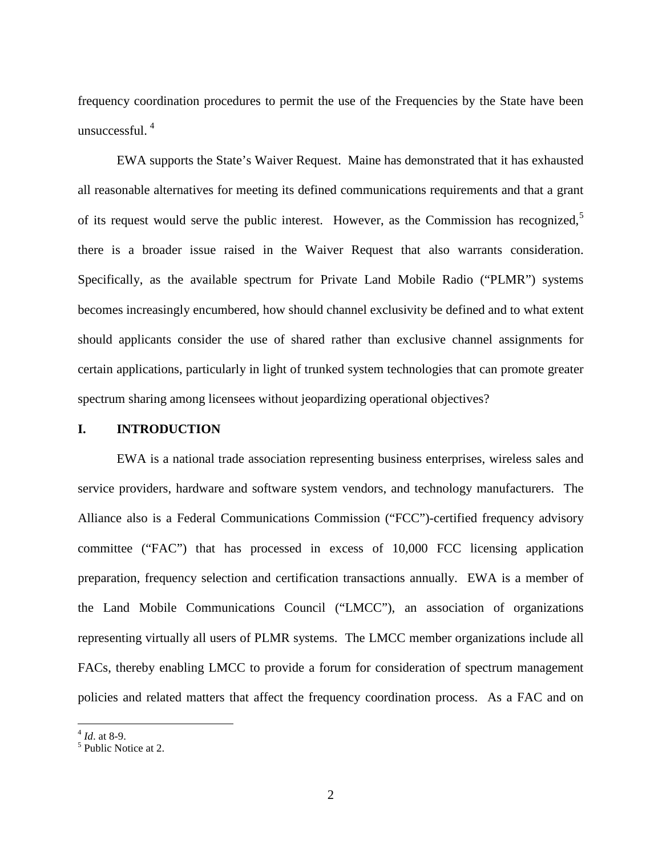frequency coordination procedures to permit the use of the Frequencies by the State have been unsuccessful. [4](#page-1-0)

EWA supports the State's Waiver Request. Maine has demonstrated that it has exhausted all reasonable alternatives for meeting its defined communications requirements and that a grant of its request would serve the public interest. However, as the Commission has recognized,<sup>[5](#page-1-1)</sup> there is a broader issue raised in the Waiver Request that also warrants consideration. Specifically, as the available spectrum for Private Land Mobile Radio ("PLMR") systems becomes increasingly encumbered, how should channel exclusivity be defined and to what extent should applicants consider the use of shared rather than exclusive channel assignments for certain applications, particularly in light of trunked system technologies that can promote greater spectrum sharing among licensees without jeopardizing operational objectives?

#### **I. INTRODUCTION**

EWA is a national trade association representing business enterprises, wireless sales and service providers, hardware and software system vendors, and technology manufacturers. The Alliance also is a Federal Communications Commission ("FCC")-certified frequency advisory committee ("FAC") that has processed in excess of 10,000 FCC licensing application preparation, frequency selection and certification transactions annually. EWA is a member of the Land Mobile Communications Council ("LMCC"), an association of organizations representing virtually all users of PLMR systems. The LMCC member organizations include all FACs, thereby enabling LMCC to provide a forum for consideration of spectrum management policies and related matters that affect the frequency coordination process. As a FAC and on

<span id="page-1-1"></span><span id="page-1-0"></span> $^{4}$  *Id.* at 8-9.<br><sup>5</sup> Public Notice at 2.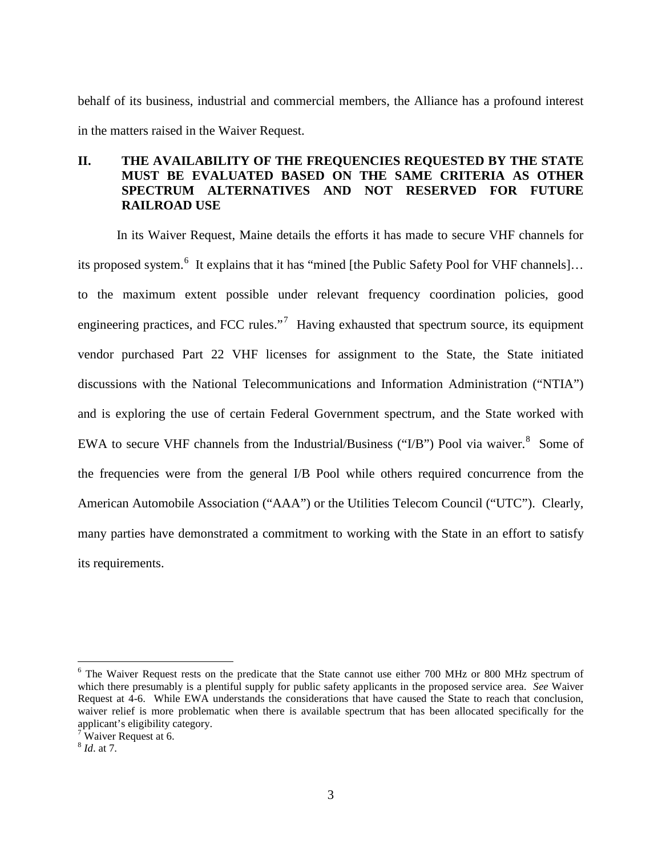behalf of its business, industrial and commercial members, the Alliance has a profound interest in the matters raised in the Waiver Request.

# **II. THE AVAILABILITY OF THE FREQUENCIES REQUESTED BY THE STATE MUST BE EVALUATED BASED ON THE SAME CRITERIA AS OTHER SPECTRUM ALTERNATIVES AND NOT RESERVED FOR FUTURE RAILROAD USE**

In its Waiver Request, Maine details the efforts it has made to secure VHF channels for its proposed system.<sup>[6](#page-2-0)</sup> It explains that it has "mined [the Public Safety Pool for VHF channels]... to the maximum extent possible under relevant frequency coordination policies, good engineering practices, and FCC rules."<sup>[7](#page-2-1)</sup> Having exhausted that spectrum source, its equipment vendor purchased Part 22 VHF licenses for assignment to the State, the State initiated discussions with the National Telecommunications and Information Administration ("NTIA") and is exploring the use of certain Federal Government spectrum, and the State worked with EWA to secure VHF channels from the Industrial/Business ("I/B") Pool via waiver.<sup>[8](#page-2-2)</sup> Some of the frequencies were from the general I/B Pool while others required concurrence from the American Automobile Association ("AAA") or the Utilities Telecom Council ("UTC"). Clearly, many parties have demonstrated a commitment to working with the State in an effort to satisfy its requirements.

<span id="page-2-0"></span><sup>&</sup>lt;sup>6</sup> The Waiver Request rests on the predicate that the State cannot use either 700 MHz or 800 MHz spectrum of which there presumably is a plentiful supply for public safety applicants in the proposed service area. *See* Waiver Request at 4-6. While EWA understands the considerations that have caused the State to reach that conclusion, waiver relief is more problematic when there is available spectrum that has been allocated specifically for the applicant's eligibility category.

<span id="page-2-1"></span> $7^{\text{th}}$  Waiver Request at 6.

<span id="page-2-2"></span><sup>8</sup> *Id*. at 7.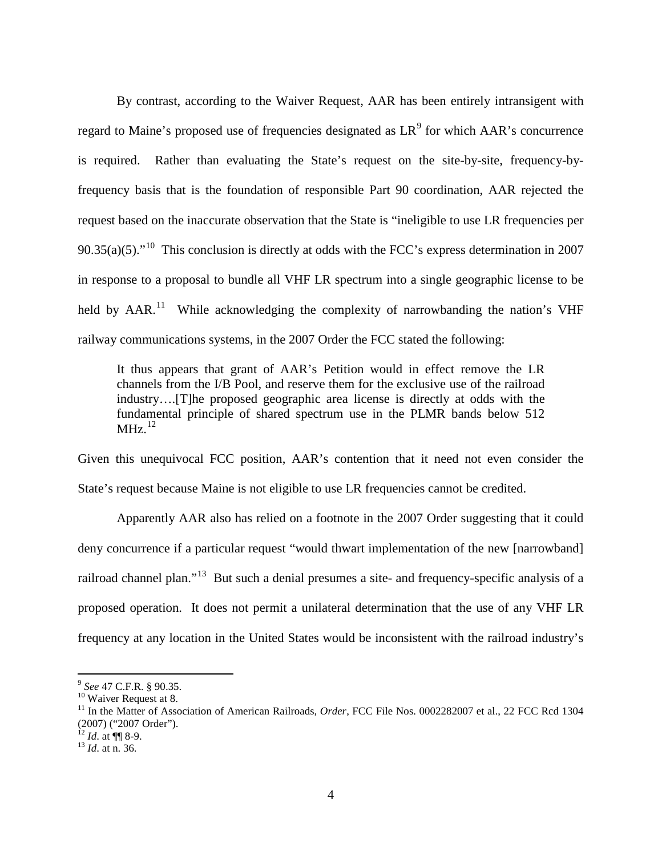By contrast, according to the Waiver Request, AAR has been entirely intransigent with regard to Maine's proposed use of frequencies designated as  $LR^9$  $LR^9$  for which AAR's concurrence is required. Rather than evaluating the State's request on the site-by-site, frequency-byfrequency basis that is the foundation of responsible Part 90 coordination, AAR rejected the request based on the inaccurate observation that the State is "ineligible to use LR frequencies per 90.35(a)(5). $10^{10}$  $10^{10}$  This conclusion is directly at odds with the FCC's express determination in 2007 in response to a proposal to bundle all VHF LR spectrum into a single geographic license to be held by AAR.<sup>[11](#page-3-2)</sup> While acknowledging the complexity of narrowbanding the nation's VHF railway communications systems, in the 2007 Order the FCC stated the following:

It thus appears that grant of AAR's Petition would in effect remove the LR channels from the I/B Pool, and reserve them for the exclusive use of the railroad industry….[T]he proposed geographic area license is directly at odds with the fundamental principle of shared spectrum use in the PLMR bands below 512  $MHz.<sup>12</sup>$  $MHz.<sup>12</sup>$  $MHz.<sup>12</sup>$ 

Given this unequivocal FCC position, AAR's contention that it need not even consider the State's request because Maine is not eligible to use LR frequencies cannot be credited.

Apparently AAR also has relied on a footnote in the 2007 Order suggesting that it could deny concurrence if a particular request "would thwart implementation of the new [narrowband] railroad channel plan."<sup>[13](#page-3-4)</sup> But such a denial presumes a site- and frequency-specific analysis of a proposed operation. It does not permit a unilateral determination that the use of any VHF LR frequency at any location in the United States would be inconsistent with the railroad industry's

<span id="page-3-0"></span><sup>&</sup>lt;sup>9</sup> *See* 47 C.F.R. § 90.35.<br><sup>10</sup> Waiver Request at 8.

<span id="page-3-1"></span>

<span id="page-3-2"></span><sup>&</sup>lt;sup>11</sup> In the Matter of Association of American Railroads, *Order*, FCC File Nos. 0002282007 et al., 22 FCC Rcd 1304 (2007) ("2007 Order").

<span id="page-3-3"></span><sup>12</sup> *Id*. at ¶¶ 8-9. <sup>13</sup> *Id*. at n. 36.

<span id="page-3-4"></span>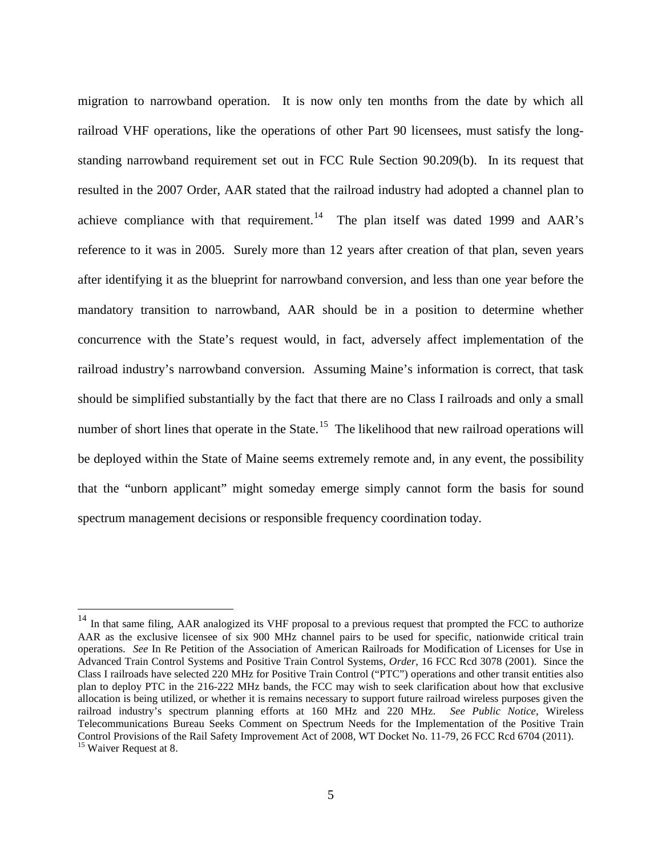migration to narrowband operation. It is now only ten months from the date by which all railroad VHF operations, like the operations of other Part 90 licensees, must satisfy the longstanding narrowband requirement set out in FCC Rule Section 90.209(b). In its request that resulted in the 2007 Order, AAR stated that the railroad industry had adopted a channel plan to achieve compliance with that requirement.<sup>14</sup> The plan itself was dated 1999 and AAR's reference to it was in 2005. Surely more than 12 years after creation of that plan, seven years after identifying it as the blueprint for narrowband conversion, and less than one year before the mandatory transition to narrowband, AAR should be in a position to determine whether concurrence with the State's request would, in fact, adversely affect implementation of the railroad industry's narrowband conversion. Assuming Maine's information is correct, that task should be simplified substantially by the fact that there are no Class I railroads and only a small number of short lines that operate in the State.<sup>[15](#page-4-1)</sup> The likelihood that new railroad operations will be deployed within the State of Maine seems extremely remote and, in any event, the possibility that the "unborn applicant" might someday emerge simply cannot form the basis for sound spectrum management decisions or responsible frequency coordination today.

<span id="page-4-1"></span><span id="page-4-0"></span><sup>&</sup>lt;sup>14</sup> In that same filing, AAR analogized its VHF proposal to a previous request that prompted the FCC to authorize AAR as the exclusive licensee of six 900 MHz channel pairs to be used for specific, nationwide critical train operations. *See* In Re Petition of the Association of American Railroads for Modification of Licenses for Use in Advanced Train Control Systems and Positive Train Control Systems, *Order*, 16 FCC Rcd 3078 (2001). Since the Class I railroads have selected 220 MHz for Positive Train Control ("PTC") operations and other transit entities also plan to deploy PTC in the 216-222 MHz bands, the FCC may wish to seek clarification about how that exclusive allocation is being utilized, or whether it is remains necessary to support future railroad wireless purposes given the railroad industry's spectrum planning efforts at 160 MHz and 220 MHz. *See Public Notice*, Wireless Telecommunications Bureau Seeks Comment on Spectrum Needs for the Implementation of the Positive Train Control Provisions of the Rail Safety Improvement Act of 2008, WT Docket No. 11-79, 26 FCC Rcd 6704 (2011). <sup>15</sup> Waiver Request at 8.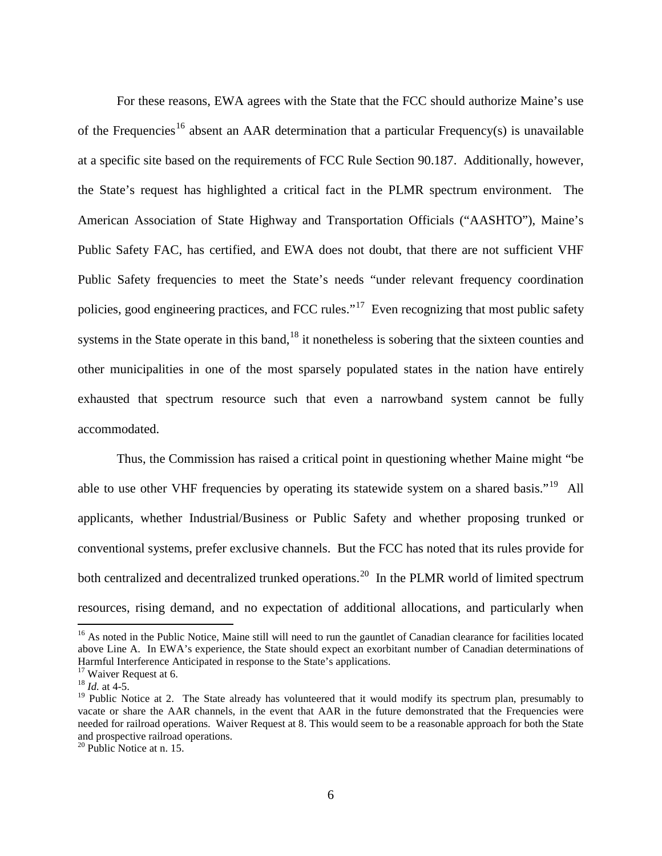For these reasons, EWA agrees with the State that the FCC should authorize Maine's use of the Frequencies<sup>[16](#page-5-0)</sup> absent an AAR determination that a particular Frequency(s) is unavailable at a specific site based on the requirements of FCC Rule Section 90.187. Additionally, however, the State's request has highlighted a critical fact in the PLMR spectrum environment. The American Association of State Highway and Transportation Officials ("AASHTO"), Maine's Public Safety FAC, has certified, and EWA does not doubt, that there are not sufficient VHF Public Safety frequencies to meet the State's needs "under relevant frequency coordination policies, good engineering practices, and FCC rules."[17](#page-5-1) Even recognizing that most public safety systems in the State operate in this band, <sup>[18](#page-5-2)</sup> it nonetheless is sobering that the sixteen counties and other municipalities in one of the most sparsely populated states in the nation have entirely exhausted that spectrum resource such that even a narrowband system cannot be fully accommodated.

Thus, the Commission has raised a critical point in questioning whether Maine might "be able to use other VHF frequencies by operating its statewide system on a shared basis."<sup>[19](#page-5-3)</sup> All applicants, whether Industrial/Business or Public Safety and whether proposing trunked or conventional systems, prefer exclusive channels. But the FCC has noted that its rules provide for both centralized and decentralized trunked operations.<sup>[20](#page-5-4)</sup> In the PLMR world of limited spectrum resources, rising demand, and no expectation of additional allocations, and particularly when

<span id="page-5-0"></span><sup>&</sup>lt;sup>16</sup> As noted in the Public Notice, Maine still will need to run the gauntlet of Canadian clearance for facilities located above Line A. In EWA's experience, the State should expect an exorbitant number of Canadian determinations of Harmful Interference Anticipated in response to the State's applications.

<span id="page-5-1"></span><sup>&</sup>lt;sup>17</sup> Waiver Request at 6.<br><sup>18</sup> *Id.* at 4-5.

<span id="page-5-3"></span><span id="page-5-2"></span><sup>&</sup>lt;sup>19</sup> Public Notice at 2. The State already has volunteered that it would modify its spectrum plan, presumably to vacate or share the AAR channels, in the event that AAR in the future demonstrated that the Frequencies were needed for railroad operations. Waiver Request at 8. This would seem to be a reasonable approach for both the State

<span id="page-5-4"></span> $20$  Public Notice at n. 15.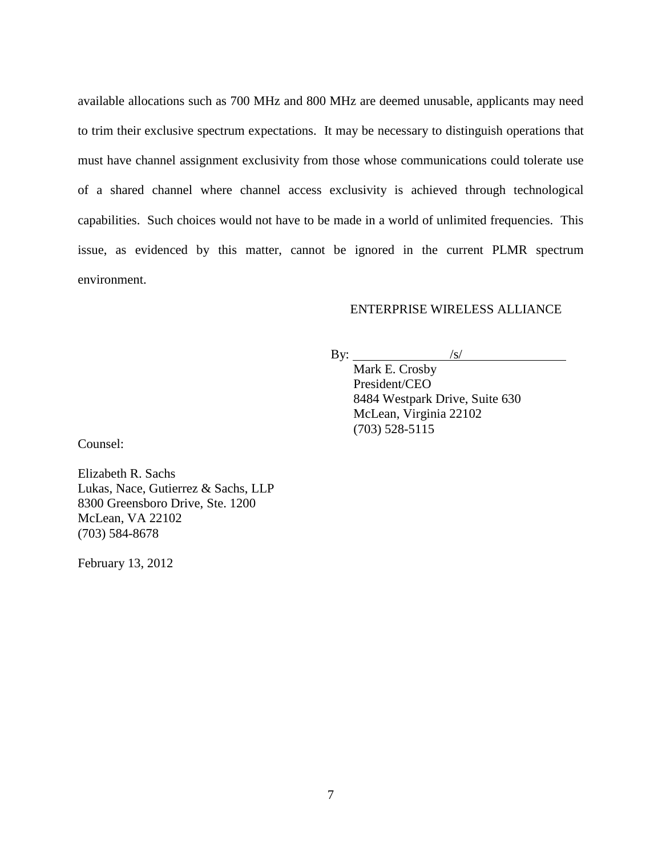available allocations such as 700 MHz and 800 MHz are deemed unusable, applicants may need to trim their exclusive spectrum expectations. It may be necessary to distinguish operations that must have channel assignment exclusivity from those whose communications could tolerate use of a shared channel where channel access exclusivity is achieved through technological capabilities. Such choices would not have to be made in a world of unlimited frequencies. This issue, as evidenced by this matter, cannot be ignored in the current PLMR spectrum environment.

### ENTERPRISE WIRELESS ALLIANCE

By:  $\_\_$  $\frac{1}{\sqrt{S}}$ 

Mark E. Crosby President/CEO 8484 Westpark Drive, Suite 630 McLean, Virginia 22102 (703) 528-5115

Counsel:

Elizabeth R. Sachs Lukas, Nace, Gutierrez & Sachs, LLP 8300 Greensboro Drive, Ste. 1200 McLean, VA 22102 (703) 584-8678

February 13, 2012